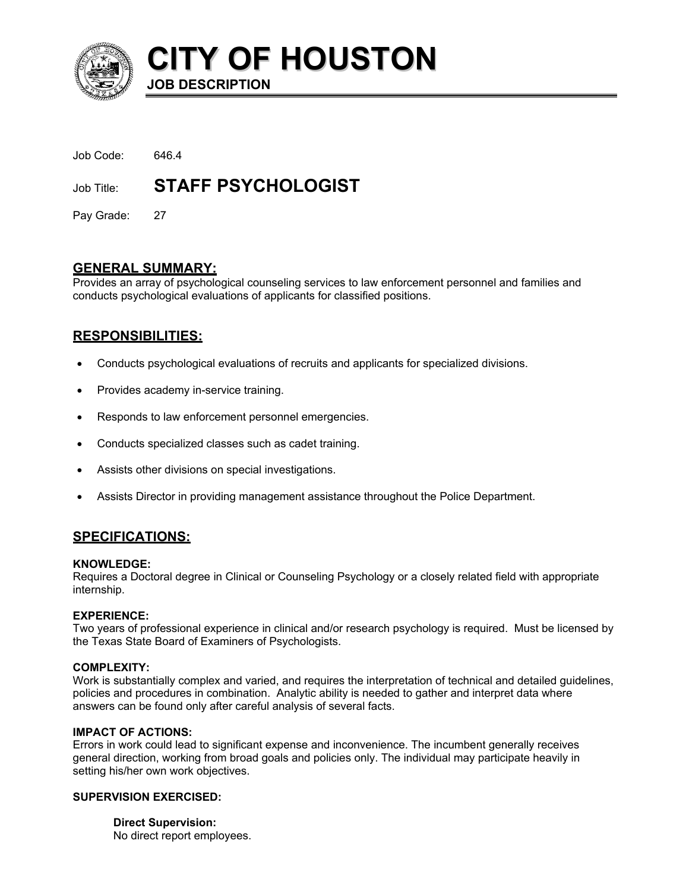

**CITY OF HOUSTON JOB DESCRIPTION** 

| Job Code:  | 646.4                     |
|------------|---------------------------|
| Job Title: | <b>STAFF PSYCHOLOGIST</b> |

Pay Grade: 27

# **GENERAL SUMMARY:**

Provides an array of psychological counseling services to law enforcement personnel and families and conducts psychological evaluations of applicants for classified positions.

# **RESPONSIBILITIES:**

- Conducts psychological evaluations of recruits and applicants for specialized divisions.
- Provides academy in-service training.
- Responds to law enforcement personnel emergencies.
- Conducts specialized classes such as cadet training.
- Assists other divisions on special investigations.
- Assists Director in providing management assistance throughout the Police Department.

# **SPECIFICATIONS:**

## **KNOWLEDGE:**

Requires a Doctoral degree in Clinical or Counseling Psychology or a closely related field with appropriate internship.

# **EXPERIENCE:**

Two years of professional experience in clinical and/or research psychology is required. Must be licensed by the Texas State Board of Examiners of Psychologists.

## **COMPLEXITY:**

Work is substantially complex and varied, and requires the interpretation of technical and detailed guidelines, policies and procedures in combination. Analytic ability is needed to gather and interpret data where answers can be found only after careful analysis of several facts.

## **IMPACT OF ACTIONS:**

Errors in work could lead to significant expense and inconvenience. The incumbent generally receives general direction, working from broad goals and policies only. The individual may participate heavily in setting his/her own work objectives.

## **SUPERVISION EXERCISED:**

**Direct Supervision:** No direct report employees.